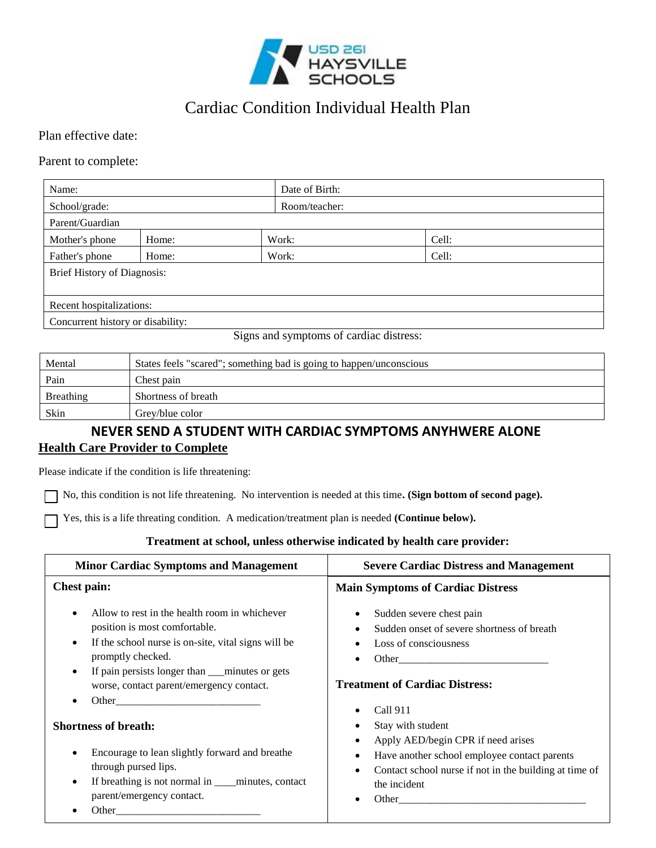

# Cardiac Condition Individual Health Plan

## Plan effective date:

## Parent to complete:

| Name:                              |       |  | Date of Birth: |       |
|------------------------------------|-------|--|----------------|-------|
| School/grade:                      |       |  | Room/teacher:  |       |
| Parent/Guardian                    |       |  |                |       |
| Mother's phone                     | Home: |  | Work:          | Cell: |
| Father's phone                     | Home: |  | Work:          | Cell: |
| <b>Brief History of Diagnosis:</b> |       |  |                |       |
|                                    |       |  |                |       |
| Recent hospitalizations:           |       |  |                |       |
| Concurrent history or disability:  |       |  |                |       |

Signs and symptoms of cardiac distress:

| Mental    | States feels "scared"; something bad is going to happen/unconscious |  |
|-----------|---------------------------------------------------------------------|--|
| Pain      | Chest pain                                                          |  |
| Breathing | Shortness of breath                                                 |  |
| Skin      | Grev/blue color                                                     |  |

## **NEVER SEND A STUDENT WITH CARDIAC SYMPTOMS ANYHWERE ALONE Health Care Provider to Complete**

### Please indicate if the condition is life threatening:

No, this condition is not life threatening. No intervention is needed at this time**. (Sign bottom of second page).** 

Yes, this is a life threating condition. A medication/treatment plan is needed **(Continue below).**

## **Treatment at school, unless otherwise indicated by health care provider:**

| <b>Minor Cardiac Symptoms and Management</b>                                                                                                                                                                                                                                                                                                                                                                                                                                                                                                                                     | <b>Severe Cardiac Distress and Management</b>                                                                                                                                                                                                                                                                                                                              |  |
|----------------------------------------------------------------------------------------------------------------------------------------------------------------------------------------------------------------------------------------------------------------------------------------------------------------------------------------------------------------------------------------------------------------------------------------------------------------------------------------------------------------------------------------------------------------------------------|----------------------------------------------------------------------------------------------------------------------------------------------------------------------------------------------------------------------------------------------------------------------------------------------------------------------------------------------------------------------------|--|
| <b>Chest pain:</b>                                                                                                                                                                                                                                                                                                                                                                                                                                                                                                                                                               | <b>Main Symptoms of Cardiac Distress</b>                                                                                                                                                                                                                                                                                                                                   |  |
| Allow to rest in the health room in whichever<br>position is most comfortable.<br>If the school nurse is on-site, vital signs will be<br>promptly checked.<br>If pain persists longer than <u>minutes</u> or gets<br>worse, contact parent/emergency contact.<br>Other that the contract of the contract of the contract of the contract of the contract of the contract of the contract of the contract of the contract of the contract of the contract of the contract of the contract of the<br><b>Shortness of breath:</b><br>Encourage to lean slightly forward and breathe | Sudden severe chest pain<br>$\bullet$<br>Sudden onset of severe shortness of breath<br>Loss of consciousness<br><b>Treatment of Cardiac Distress:</b><br>Call 911<br>Stay with student<br>Apply AED/begin CPR if need arises<br>$\bullet$<br>$\bullet$                                                                                                                     |  |
| through pursed lips.<br>If breathing is not normal in ____minutes, contact<br>$\bullet$<br>parent/emergency contact.<br>Other                                                                                                                                                                                                                                                                                                                                                                                                                                                    | Have another school employee contact parents<br>Contact school nurse if not in the building at time of<br>$\bullet$<br>the incident<br>Other than the contract of the contract of the contract of the contract of the contract of the contract of the contract of the contract of the contract of the contract of the contract of the contract of the contract of the<br>٠ |  |